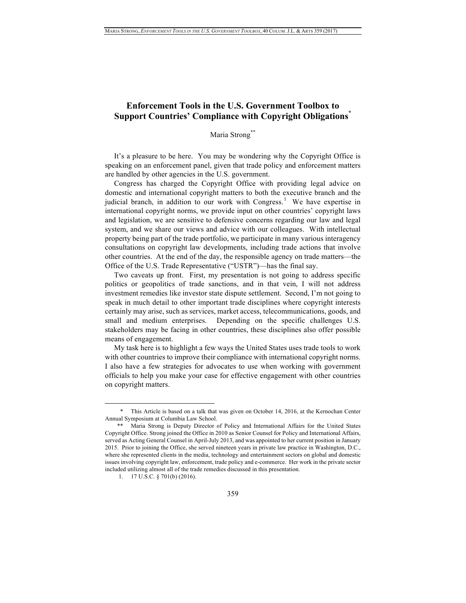# **Enforcement Tools in the U.S. Government Toolbox to Support Countries' Compliance with Copyright Obligations\***

# Maria Strong\*\*

It's a pleasure to be here. You may be wondering why the Copyright Office is speaking on an enforcement panel, given that trade policy and enforcement matters are handled by other agencies in the U.S. government.

Congress has charged the Copyright Office with providing legal advice on domestic and international copyright matters to both the executive branch and the judicial branch, in addition to our work with Congress.<sup>1</sup> We have expertise in international copyright norms, we provide input on other countries' copyright laws and legislation, we are sensitive to defensive concerns regarding our law and legal system, and we share our views and advice with our colleagues. With intellectual property being part of the trade portfolio, we participate in many various interagency consultations on copyright law developments, including trade actions that involve other countries. At the end of the day, the responsible agency on trade matters—the Office of the U.S. Trade Representative ("USTR")—has the final say.

Two caveats up front. First, my presentation is not going to address specific politics or geopolitics of trade sanctions, and in that vein, I will not address investment remedies like investor state dispute settlement. Second, I'm not going to speak in much detail to other important trade disciplines where copyright interests certainly may arise, such as services, market access, telecommunications, goods, and small and medium enterprises. Depending on the specific challenges U.S. stakeholders may be facing in other countries, these disciplines also offer possible means of engagement.

My task here is to highlight a few ways the United States uses trade tools to work with other countries to improve their compliance with international copyright norms. I also have a few strategies for advocates to use when working with government officials to help you make your case for effective engagement with other countries on copyright matters.

 <sup>\*</sup> This Article is based on <sup>a</sup> talk that was given on October 14, 2016, at the Kernochan Center Annual Symposium at Columbia Law School.

Maria Strong is Deputy Director of Policy and International Affairs for the United States Copyright Office. Strong joined the Office in 2010 as Senior Counsel for Policy and International Affairs, served as Acting General Counsel in April-July 2013, and was appointed to her current position in January 2015. Prior to joining the Office, she served nineteen years in private law practice in Washington, D.C., where she represented clients in the media, technology and entertainment sectors on global and domestic issues involving copyright law, enforcement, trade policy and e-commerce. Her work in the private sector included utilizing almost all of the trade remedies discussed in this presentation.

<sup>1.</sup> 17 U.S.C. § 701(b) (2016).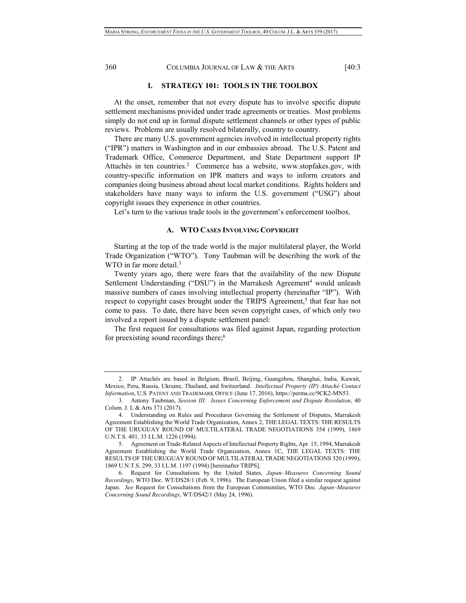# **I. STRATEGY 101: TOOLS IN THE TOOLBOX**

At the onset, remember that not every dispute has to involve specific dispute settlement mechanisms provided under trade agreements or treaties. Most problems simply do not end up in formal dispute settlement channels or other types of public reviews. Problems are usually resolved bilaterally, country to country.

There are many U.S. government agencies involved in intellectual property rights ("IPR") matters in Washington and in our embassies abroad. The U.S. Patent and Trademark Office, Commerce Department, and State Department support IP Attachés in ten countries.<sup>2</sup> Commerce has a website, www.stopfakes.gov, with country-specific information on IPR matters and ways to inform creators and companies doing business abroad about local market conditions. Rights holders and stakeholders have many ways to inform the U.S. government ("USG") about copyright issues they experience in other countries.

Let's turn to the various trade tools in the government's enforcement toolbox.

## **A. WTO CASES INVOLVING COPYRIGHT**

Starting at the top of the trade world is the major multilateral player, the World Trade Organization ("WTO"). Tony Taubman will be describing the work of the WTO in far more detail.<sup>3</sup>

Twenty years ago, there were fears that the availability of the new Dispute Settlement Understanding ("DSU") in the Marrakesh Agreement<sup>4</sup> would unleash massive numbers of cases involving intellectual property (hereinafter "IP"). With respect to copyright cases brought under the TRIPS Agreement,<sup>5</sup> that fear has not come to pass. To date, there have been seven copyright cases, of which only two involved a report issued by a dispute settlement panel:

The first request for consultations was filed against Japan, regarding protection for preexisting sound recordings there;6

<sup>2.</sup> IP Attachés are based in Belgium, Brazil, Beijing, Guangzhou, Shanghai, India, Kuwait, Mexico, Peru, Russia, Ukraine, Thailand, and Switzerland. *Intellectual Property (IP) Attaché Contact Information*, U.S. PATENT AND TRADEMARK OFFICE (June 17, 2016), https://perma.cc/9CK2-MN53.

<sup>3.</sup> Antony Taubman, *Session III: Issues Concerning Enforcement and Dispute Resolution*, 40 Colum. J. L & Arts 371 (2017).

<sup>4.</sup> Understanding on Rules and Procedures Governing the Settlement of Disputes, Marrakesh Agreement Establishing the World Trade Organization, Annex 2, THE LEGAL TEXTS: THE RESULTS OF THE URUGUAY ROUND OF MULTILATERAL TRADE NEGOTIATIONS 354 (1999), 1869 U.N.T.S. 401, 33 I.L.M. 1226 (1994).

<sup>5.</sup> Agreement on Trade-Related Aspects of Intellectual Property Rights, Apr. 15, 1994, Marrakesh Agreement Establishing the World Trade Organization, Annex 1C, THE LEGAL TEXTS: THE RESULTS OF THE URUGUAY ROUND OF MULTILATERAL TRADE NEGOTIATIONS 320 (1999), 1869 U.N.T.S. 299, 33 I.L.M. 1197 (1994) [hereinafter TRIPS].

<sup>6.</sup> Request for Consultations by the United States, *Japan–Measures Concerning Sound Recordings*, WTO Doc. WT/DS28/1 (Feb. 9, 1996). The European Union filed a similar request against Japan. *See* Request for Consultations from the European Communities, WTO Doc. *Japan–Measures Concerning Sound Recordings*, WT/DS42/1 (May 24, 1996).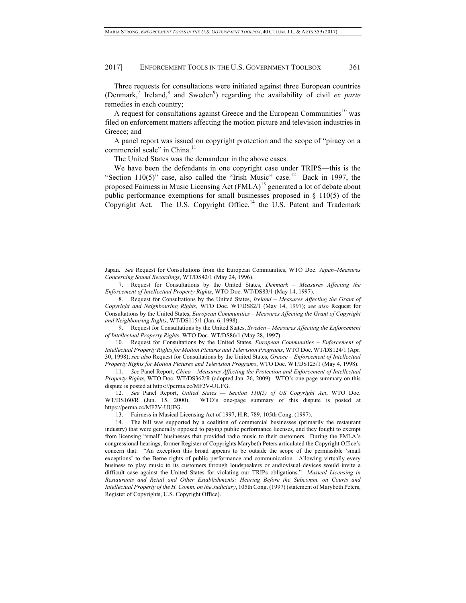Three requests for consultations were initiated against three European countries (Denmark,<sup>7</sup> Ireland,<sup>8</sup> and Sweden<sup>9</sup>) regarding the availability of civil *ex parte* remedies in each country;

A request for consultations against Greece and the European Communities<sup>10</sup> was filed on enforcement matters affecting the motion picture and television industries in Greece; and

A panel report was issued on copyright protection and the scope of "piracy on a commercial scale" in China.<sup>11</sup>

The United States was the demandeur in the above cases.

We have been the defendants in one copyright case under TRIPS—this is the "Section 110(5)" case, also called the "Irish Music" case.<sup>12</sup> Back in 1997, the proposed Fairness in Music Licensing Act (FMLA)<sup>13</sup> generated a lot of debate about public performance exemptions for small businesses proposed in § 110(5) of the Copyright Act. The U.S. Copyright Office,<sup>14</sup> the U.S. Patent and Trademark

9. Request for Consultations by the United States, *Sweden – Measures Affecting the Enforcement of Intellectual Property Rights*, WTO Doc. WT/DS86/1 (May 28, 1997).

10. Request for Consultations by the United States, *European Communities – Enforcement of Intellectual Property Rights for Motion Pictures and Television Programs*, WTO Doc. WT/DS124/1 (Apr. 30, 1998); *see also* Request for Consultations by the United States, *Greece – Enforcement of Intellectual Property Rights for Motion Pictures and Television Programs*, WTO Doc. WT/DS125/1 (May 4, 1998).

11*. See* Panel Report, *China – Measures Affecting the Protection and Enforcement of Intellectual Property Rights*, WTO Doc. WT/DS362/R (adopted Jan. 26, 2009). WTO's one-page summary on this dispute is posted at https://perma.cc/MF2V-UUFG.

12*. See* Panel Report, *United States — Section 110(5) of US Copyright Act*, WTO Doc. WT/DS160/R (Jun. 15, 2000). WTO's one-page summary of this dispute is posted at https://perma.cc/MF2V-UUFG.

Japan. *See* Request for Consultations from the European Communities, WTO Doc. *Japan–Measures Concerning Sound Recordings*, WT/DS42/1 (May 24, 1996).

<sup>7.</sup> Request for Consultations by the United States, *Denmark – Measures Affecting the Enforcement of Intellectual Property Rights*, WTO Doc. WT/DS83/1 (May 14, 1997).

<sup>8.</sup> Request for Consultations by the United States, *Ireland – Measures Affecting the Grant of Copyright and Neighbouring Rights*, WTO Doc. WT/DS82/1 (May 14, 1997); *see also* Request for Consultations by the United States, *European Communities – Measures Affecting the Grant of Copyright and Neighbouring Rights*, WT/DS115/1 (Jan. 6, 1998).

<sup>13.</sup> Fairness in Musical Licensing Act of 1997, H.R. 789, 105th Cong. (1997).

<sup>14.</sup> The bill was supported by a coalition of commercial businesses (primarily the restaurant industry) that were generally opposed to paying public performance licenses, and they fought to exempt from licensing "small" businesses that provided radio music to their customers. During the FMLA's congressional hearings, former Register of Copyrights Marybeth Peters articulated the Copyright Office's concern that: "An exception this broad appears to be outside the scope of the permissible 'small exceptions' to the Berne rights of public performance and communication. Allowing virtually every business to play music to its customers through loudspeakers or audiovisual devices would invite a difficult case against the United States for violating our TRIPs obligations." *Musical Licensing in Restaurants and Retail and Other Establishments: Hearing Before the Subcomm. on Courts and Intellectual Property of the H. Comm. on the Judiciary*, 105th Cong. (1997) (statement of Marybeth Peters, Register of Copyrights, U.S. Copyright Office).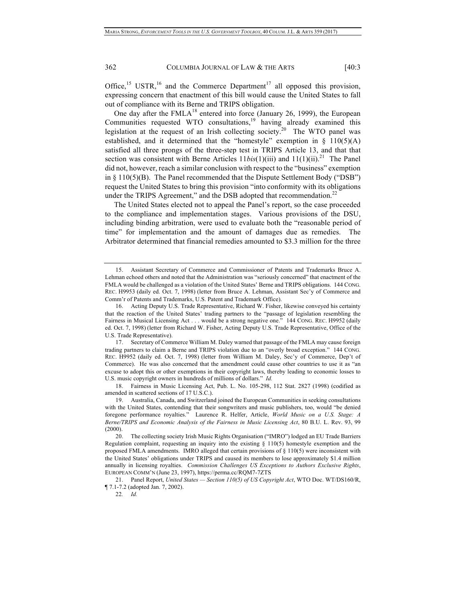Office,<sup>15</sup> USTR,<sup>16</sup> and the Commerce Department<sup>17</sup> all opposed this provision, expressing concern that enactment of this bill would cause the United States to fall out of compliance with its Berne and TRIPS obligation.

One day after the  $FMLA<sup>18</sup>$  entered into force (January 26, 1999), the European Communities requested WTO consultations,<sup>19</sup> having already examined this legislation at the request of an Irish collecting society.<sup>20</sup> The WTO panel was established, and it determined that the "homestyle" exemption in  $\S$  110(5)(A) satisfied all three prongs of the three-step test in TRIPS Article 13, and that that section was consistent with Berne Articles  $11bis(1)(iii)$  and  $11(1)(ii).^{21}$  The Panel did not, however, reach a similar conclusion with respect to the "business" exemption in  $\S$  110(5)(B). The Panel recommended that the Dispute Settlement Body ("DSB") request the United States to bring this provision "into conformity with its obligations under the TRIPS Agreement," and the DSB adopted that recommendation. $^{22}$ 

The United States elected not to appeal the Panel's report, so the case proceeded to the compliance and implementation stages. Various provisions of the DSU, including binding arbitration, were used to evaluate both the "reasonable period of time" for implementation and the amount of damages due as remedies. The Arbitrator determined that financial remedies amounted to \$3.3 million for the three

17. Secretary of Commerce William M. Daley warned that passage of the FMLA may cause foreign trading partners to claim a Berne and TRIPS violation due to an "overly broad exception." 144 CONG. REC. H9952 (daily ed. Oct. 7, 1998) (letter from William M. Daley, Sec'y of Commerce, Dep't of Commerce). He was also concerned that the amendment could cause other countries to use it as "an excuse to adopt this or other exemptions in their copyright laws, thereby leading to economic losses to U.S. music copyright owners in hundreds of millions of dollars." *Id.*

18. Fairness in Music Licensing Act, Pub. L. No. 105-298, 112 Stat. 2827 (1998) (codified as amended in scattered sections of 17 U.S.C.).

<sup>15.</sup> Assistant Secretary of Commerce and Commissioner of Patents and Trademarks Bruce A. Lehman echoed others and noted that the Administration was "seriously concerned" that enactment of the FMLA would be challenged as a violation of the United States' Berne and TRIPS obligations. 144 CONG. REC. H9953 (daily ed. Oct. 7, 1998) (letter from Bruce A. Lehman, Assistant Sec'y of Commerce and Comm'r of Patents and Trademarks, U.S. Patent and Trademark Office).

<sup>16.</sup> Acting Deputy U.S. Trade Representative, Richard W. Fisher, likewise conveyed his certainty that the reaction of the United States' trading partners to the "passage of legislation resembling the Fairness in Musical Licensing Act . . . would be a strong negative one." 144 CONG. REC. H9952 (daily ed. Oct. 7, 1998) (letter from Richard W. Fisher, Acting Deputy U.S. Trade Representative, Office of the U.S. Trade Representative).

<sup>19.</sup> Australia, Canada, and Switzerland joined the European Communities in seeking consultations with the United States, contending that their songwriters and music publishers, too, would "be denied foregone performance royalties." Laurence R. Helfer, Article, *World Music on a U.S. Stage: A Berne/TRIPS and Economic Analysis of the Fairness in Music Licensing Act*, 80 B.U. L. Rev. 93, 99 (2000).

<sup>20.</sup> The collecting society Irish Music Rights Organisation ("IMRO") lodged an EU Trade Barriers Regulation complaint, requesting an inquiry into the existing  $\S$  110(5) homestyle exemption and the proposed FMLA amendments. IMRO alleged that certain provisions of § 110(5) were inconsistent with the United States' obligations under TRIPS and caused its members to lose approximately \$1.4 million annually in licensing royalties. *Commission Challenges US Exceptions to Authors Exclusive Rights*, EUROPEAN COMM'N (June 23, 1997), https://perma.cc/RQM7-7ZTS

<sup>21.</sup> Panel Report, *United States — Section 110(5) of US Copyright Act*, WTO Doc. WT/DS160/R, ¶ 7.1-7.2 (adopted Jan. 7, 2002).

<sup>22</sup>*. Id.*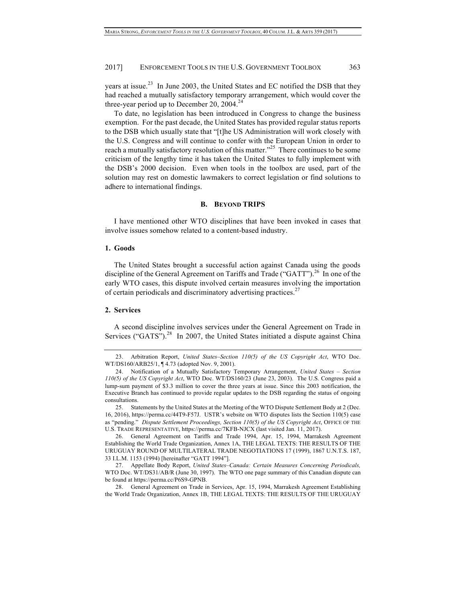years at issue.<sup>23</sup> In June 2003, the United States and EC notified the DSB that they had reached a mutually satisfactory temporary arrangement, which would cover the three-year period up to December 20, 2004.<sup>24</sup>

To date, no legislation has been introduced in Congress to change the business exemption. For the past decade, the United States has provided regular status reports to the DSB which usually state that "[t]he US Administration will work closely with the U.S. Congress and will continue to confer with the European Union in order to reach a mutually satisfactory resolution of this matter."<sup>25</sup> There continues to be some criticism of the lengthy time it has taken the United States to fully implement with the DSB's 2000 decision. Even when tools in the toolbox are used, part of the solution may rest on domestic lawmakers to correct legislation or find solutions to adhere to international findings.

#### **B. BEYOND TRIPS**

I have mentioned other WTO disciplines that have been invoked in cases that involve issues somehow related to a content-based industry.

## **1. Goods**

The United States brought a successful action against Canada using the goods discipline of the General Agreement on Tariffs and Trade ("GATT").<sup>26</sup> In one of the early WTO cases, this dispute involved certain measures involving the importation of certain periodicals and discriminatory advertising practices.<sup>27</sup>

### **2. Services**

A second discipline involves services under the General Agreement on Trade in Services ("GATS"). $^{28}$  In 2007, the United States initiated a dispute against China

<sup>23.</sup> Arbitration Report, *United States–Section 110(5) of the US Copyright Act*, WTO Doc. WT/DS160/ARB25/1, ¶ 4.73 (adopted Nov. 9, 2001).

<sup>24.</sup> Notification of a Mutually Satisfactory Temporary Arrangement, *United States – Section 110(5) of the US Copyright Act*, WTO Doc. WT/DS160/23 (June 23, 2003). The U.S. Congress paid a lump-sum payment of \$3.3 million to cover the three years at issue. Since this 2003 notification, the Executive Branch has continued to provide regular updates to the DSB regarding the status of ongoing consultations.

<sup>25.</sup> Statements by the United States at the Meeting of the WTO Dispute Settlement Body at 2 (Dec. 16, 2016), https://perma.cc/44T9-F57J. USTR's website on WTO disputes lists the Section 110(5) case as "pending." *Dispute Settlement Proceedings, Section 110(5) of the US Copyright Act*, OFFICE OF THE U.S. TRADE REPRESENTATIVE, https://perma.cc/7KFB-NJCX (last visited Jan. 11, 2017).

<sup>26.</sup> General Agreement on Tariffs and Trade 1994, Apr. 15, 1994, Marrakesh Agreement Establishing the World Trade Organization, Annex 1A, THE LEGAL TEXTS: THE RESULTS OF THE URUGUAY ROUND OF MULTILATERAL TRADE NEGOTIATIONS 17 (1999), 1867 U.N.T.S. 187, 33 I.L.M. 1153 (1994) [hereinafter "GATT 1994"].

<sup>27.</sup> Appellate Body Report, *United States–Canada: Certain Measures Concerning Periodicals,* WTO Doc. WT/DS31/AB/R (June 30, 1997). The WTO one page summary of this Canadian dispute can be found at https://perma.cc/P6S9-GPNB.

<sup>28.</sup> General Agreement on Trade in Services, Apr. 15, 1994, Marrakesh Agreement Establishing the World Trade Organization, Annex 1B, THE LEGAL TEXTS: THE RESULTS OF THE URUGUAY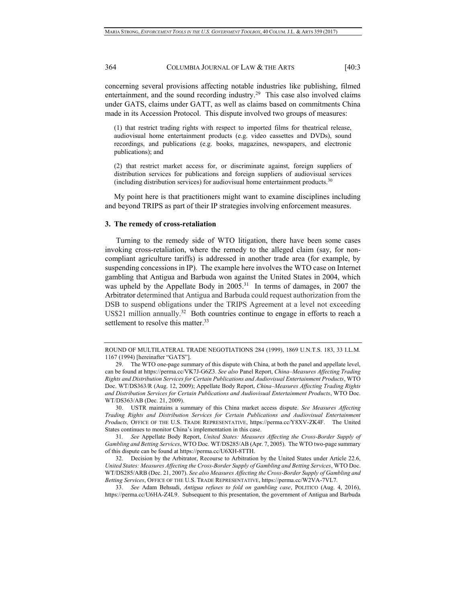concerning several provisions affecting notable industries like publishing, filmed entertainment, and the sound recording industry.<sup>29</sup> This case also involved claims under GATS, claims under GATT, as well as claims based on commitments China made in its Accession Protocol. This dispute involved two groups of measures:

(1) that restrict trading rights with respect to imported films for theatrical release, audiovisual home entertainment products (e.g. video cassettes and DVDs), sound recordings, and publications (e.g. books, magazines, newspapers, and electronic publications); and

(2) that restrict market access for, or discriminate against, foreign suppliers of distribution services for publications and foreign suppliers of audiovisual services (including distribution services) for audiovisual home entertainment products.<sup>30</sup>

My point here is that practitioners might want to examine disciplines including and beyond TRIPS as part of their IP strategies involving enforcement measures.

#### **3. The remedy of cross-retaliation**

Turning to the remedy side of WTO litigation, there have been some cases invoking cross-retaliation, where the remedy to the alleged claim (say, for noncompliant agriculture tariffs) is addressed in another trade area (for example, by suspending concessions in IP). The example here involves the WTO case on Internet gambling that Antigua and Barbuda won against the United States in 2004, which was upheld by the Appellate Body in 2005.<sup>31</sup> In terms of damages, in 2007 the Arbitrator determined that Antigua and Barbuda could request authorization from the DSB to suspend obligations under the TRIPS Agreement at a level not exceeding US\$21 million annually.<sup>32</sup> Both countries continue to engage in efforts to reach a settlement to resolve this matter.<sup>33</sup>

33. *See* Adam Behsudi, *Antigua refuses to fold on gambling case*, POLITICO (Aug. 4, 2016), https://perma.cc/U6HA-Z4L9. Subsequent to this presentation, the government of Antigua and Barbuda

ROUND OF MULTILATERAL TRADE NEGOTIATIONS 284 (1999), 1869 U.N.T.S. 183, 33 I.L.M. 1167 (1994) [hereinafter "GATS"].

<sup>29.</sup> The WTO one-page summary of this dispute with China, at both the panel and appellate level, can be found at https://perma.cc/VK7J-G6Z3. *See also* Panel Report, *China–Measures Affecting Trading Rights and Distribution Services for Certain Publications and Audiovisual Entertainment Products*, WTO Doc. WT/DS363/R (Aug. 12, 2009); Appellate Body Report, *China–Measures Affecting Trading Rights and Distribution Services for Certain Publications and Audiovisual Entertainment Products*, WTO Doc. WT/DS363/AB (Dec. 21, 2009).

<sup>30.</sup> USTR maintains a summary of this China market access dispute. *See Measures Affecting Trading Rights and Distribution Services for Certain Publications and Audiovisual Entertainment Products,* OFFICE OF THE U.S. TRADE REPRESENTATIVE, https://perma.cc/Y8XV-ZK4F.The United States continues to monitor China's implementation in this case.

<sup>31</sup>*. See* Appellate Body Report, *United States: Measures Affecting the Cross-Border Supply of Gambling and Betting Services*, WTO Doc. WT/DS285/AB (Apr. 7, 2005). The WTO two-page summary of this dispute can be found at https://perma.cc/U6XH-8TTH.

<sup>32.</sup> Decision by the Arbitrator, Recourse to Arbitration by the United States under Article 22.6, *United States: Measures Affecting the Cross-Border Supply of Gambling and Betting Services*, WTO Doc. WT/DS285/ARB (Dec. 21, 2007). *See also Measures Affecting the Cross-Border Supply of Gambling and Betting Services*, OFFICE OF THE U.S. TRADE REPRESENTATIVE, https://perma.cc/W2VA-7VL7.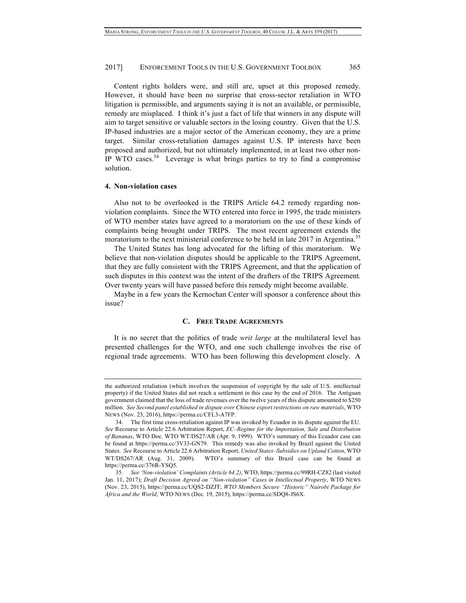Content rights holders were, and still are, upset at this proposed remedy. However, it should have been no surprise that cross-sector retaliation in WTO litigation is permissible, and arguments saying it is not an available, or permissible, remedy are misplaced. I think it's just a fact of life that winners in any dispute will aim to target sensitive or valuable sectors in the losing country. Given that the U.S. IP-based industries are a major sector of the American economy, they are a prime target. Similar cross-retaliation damages against U.S. IP interests have been proposed and authorized, but not ultimately implemented, in at least two other non-IP WTO cases. $34$  Leverage is what brings parties to try to find a compromise solution.

#### **4. Non-violation cases**

Also not to be overlooked is the TRIPS Article 64.2 remedy regarding nonviolation complaints. Since the WTO entered into force in 1995, the trade ministers of WTO member states have agreed to a moratorium on the use of these kinds of complaints being brought under TRIPS. The most recent agreement extends the moratorium to the next ministerial conference to be held in late 2017 in Argentina.<sup>35</sup>

The United States has long advocated for the lifting of this moratorium. We believe that non-violation disputes should be applicable to the TRIPS Agreement, that they are fully consistent with the TRIPS Agreement, and that the application of such disputes in this context was the intent of the drafters of the TRIPS Agreement. Over twenty years will have passed before this remedy might become available.

Maybe in a few years the Kernochan Center will sponsor a conference about this issue?

### **C. FREE TRADE AGREEMENTS**

It is no secret that the politics of trade *writ large* at the multilateral level has presented challenges for the WTO, and one such challenge involves the rise of regional trade agreements. WTO has been following this development closely. A

the authorized retaliation (which involves the suspension of copyright by the sale of U.S. intellectual property) if the United States did not reach a settlement in this case by the end of 2016. The Antiguan government claimed that the loss of trade revenues over the twelve years of this dispute amounted to \$250 million. *See Second panel established in dispute over Chinese export restrictions on raw materials*, WTO NEWS (Nov. 23, 2016), https://perma.cc/CFL3-A7FP.

<sup>34.</sup> The first time cross-retaliation against IP was invoked by Ecuador in its dispute against the EU. *See* Recourse to Article 22.6 Arbitration Report, *EC–Regime for the Importation, Sale and Distribution of Bananas*, WTO Doc. WTO WT/DS27/AR (Apr. 9, 1999). WTO's summary of this Ecuador case can be found at https://perma.cc/3V33-GN79. This remedy was also invoked by Brazil against the United States. *See* Recourse to Article 22.6 Arbitration Report, *United States–Subsidies on Upland Cotton*, WTO WT/DS267/AR (Aug. 31, 2009). WTO's summary of this Brazil case can be found at https://perma.cc/376R-YSQ5.

<sup>35</sup>*. See 'Non-violation' Complaints (Article 64.2)*, WTO, https://perma.cc/99RH-CZ82 (last visited Jan. 11, 2017); *Draft Decision Agreed on "Non-violation" Cases in Intellectual Property*, WTO NEWS (Nov. 23, 2015), https://perma.cc/UQS2-DZJT; *WTO Members Secure "Historic" Nairobi Package for Africa and the World*, WTO NEWS (Dec. 19, 2015), https://perma.cc/SDQ8-JS6X.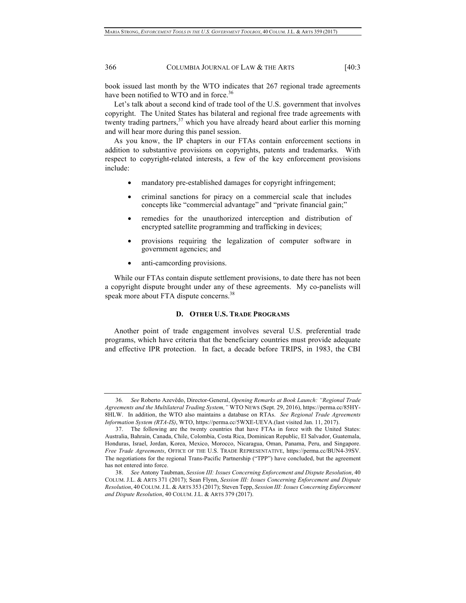book issued last month by the WTO indicates that 267 regional trade agreements have been notified to WTO and in force.<sup>36</sup>

Let's talk about a second kind of trade tool of the U.S. government that involves copyright. The United States has bilateral and regional free trade agreements with twenty trading partners,<sup>37</sup> which you have already heard about earlier this morning and will hear more during this panel session.

As you know, the IP chapters in our FTAs contain enforcement sections in addition to substantive provisions on copyrights, patents and trademarks. With respect to copyright-related interests, a few of the key enforcement provisions include:

- mandatory pre-established damages for copyright infringement;
- criminal sanctions for piracy on a commercial scale that includes concepts like "commercial advantage" and "private financial gain;"
- remedies for the unauthorized interception and distribution of encrypted satellite programming and trafficking in devices;
- provisions requiring the legalization of computer software in government agencies; and
- anti-camcording provisions.

While our FTAs contain dispute settlement provisions, to date there has not been a copyright dispute brought under any of these agreements. My co-panelists will speak more about FTA dispute concerns.<sup>38</sup>

# **D. OTHER U.S. TRADE PROGRAMS**

Another point of trade engagement involves several U.S. preferential trade programs, which have criteria that the beneficiary countries must provide adequate and effective IPR protection. In fact, a decade before TRIPS, in 1983, the CBI

<sup>36</sup>*. See* Roberto Azevêdo, Director-General, *Opening Remarks at Book Launch: "Regional Trade Agreements and the Multilateral Trading System,"* WTO NEWS (Sept. 29, 2016), https://perma.cc/85HY-8HLW. In addition, the WTO also maintains a database on RTAs. *See Regional Trade Agreements Information System (RTA-IS)*, WTO, https://perma.cc/5WXE-UEVA.(last visited Jan. 11, 2017).

<sup>37.</sup> The following are the twenty countries that have FTAs in force with the United States: Australia, Bahrain, Canada, Chile, Colombia, Costa Rica, Dominican Republic, El Salvador, Guatemala, Honduras, Israel, Jordan, Korea, Mexico, Morocco, Nicaragua, Oman, Panama, Peru, and Singapore. *Free Trade Agreements*, OFFICE OF THE U.S. TRADE REPRESENTATIVE, https://perma.cc/BUN4-39SV. The negotiations for the regional Trans-Pacific Partnership ("TPP") have concluded, but the agreement has not entered into force.

<sup>38.</sup> *See* Antony Taubman, *Session III: Issues Concerning Enforcement and Dispute Resolution*, 40 COLUM. J.L. & ARTS 371 (2017); Sean Flynn, *Session III: Issues Concerning Enforcement and Dispute Resolution*, 40 COLUM.J.L. & ARTS 353 (2017); Steven Tepp, *Session III: Issues Concerning Enforcement and Dispute Resolution*, 40 COLUM. J.L. & ARTS 379 (2017).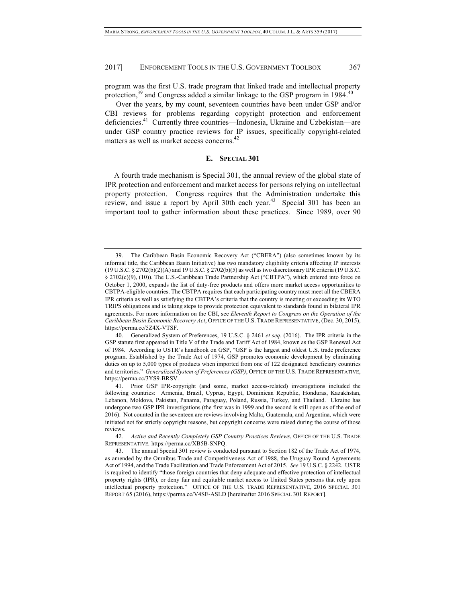program was the first U.S. trade program that linked trade and intellectual property protection, $39$  and Congress added a similar linkage to the GSP program in 1984. $40$ 

Over the years, by my count, seventeen countries have been under GSP and/or CBI reviews for problems regarding copyright protection and enforcement deficiencies.41 Currently three countries—Indonesia, Ukraine and Uzbekistan—are under GSP country practice reviews for IP issues, specifically copyright-related matters as well as market access concerns.<sup>42</sup>

#### **E. SPECIAL 301**

A fourth trade mechanism is Special 301, the annual review of the global state of IPR protection and enforcement and market access for persons relying on intellectual property protection. Congress requires that the Administration undertake this review, and issue a report by April 30th each year.<sup>43</sup> Special 301 has been an important tool to gather information about these practices. Since 1989, over 90

<sup>39.</sup> The Caribbean Basin Economic Recovery Act ("CBERA") (also sometimes known by its informal title, the Caribbean Basin Initiative) has two mandatory eligibility criteria affecting IP interests (19 U.S.C. § 2702(b)(2)(A) and 19 U.S.C. § 2702(b)(5) as well as two discretionary IPR criteria (19 U.S.C. § 2702(c)(9), (10)). The U.S.-Caribbean Trade Partnership Act ("CBTPA"), which entered into force on October 1, 2000, expands the list of duty-free products and offers more market access opportunities to CBTPA-eligible countries. The CBTPA requires that each participating country must meet all the CBERA IPR criteria as well as satisfying the CBTPA's criteria that the country is meeting or exceeding its WTO TRIPS obligations and is taking steps to provide protection equivalent to standards found in bilateral IPR agreements. For more information on the CBI, see *Eleventh Report to Congress on the Operation of the Caribbean Basin Economic Recovery Act*, OFFICE OF THE U.S. TRADE REPRESENTATIVE, (Dec. 30, 2015), https://perma.cc/5Z4X-VTSF.

<sup>40.</sup> Generalized System of Preferences, 19 U.S.C. § 2461 *et seq.* (2016). The IPR criteria in the GSP statute first appeared in Title V of the Trade and Tariff Act of 1984, known as the GSP Renewal Act of 1984. According to USTR's handbook on GSP, "GSP is the largest and oldest U.S. trade preference program. Established by the Trade Act of 1974, GSP promotes economic development by eliminating duties on up to 5,000 types of products when imported from one of 122 designated beneficiary countries and territories." *Generalized System of Preferences (GSP)*, OFFICE OF THE U.S. TRADE REPRESENTATIVE, https://perma.cc/3YS9-BRSV.

<sup>41.</sup> Prior GSP IPR-copyright (and some, market access-related) investigations included the following countries: Armenia, Brazil, Cyprus, Egypt, Dominican Republic, Honduras, Kazakhstan, Lebanon, Moldova, Pakistan, Panama, Paraguay, Poland, Russia, Turkey, and Thailand. Ukraine has undergone two GSP IPR investigations (the first was in 1999 and the second is still open as of the end of 2016). Not counted in the seventeen are reviews involving Malta, Guatemala, and Argentina, which were initiated not for strictly copyright reasons, but copyright concerns were raised during the course of those reviews.

<sup>42</sup>*. Active and Recently Completely GSP Country Practices Reviews*, OFFICE OF THE U.S. TRADE REPRESENTATIVE*,* https://perma.cc/XB5B-SNPQ.

<sup>43.</sup> The annual Special 301 review is conducted pursuant to Section 182 of the Trade Act of 1974, as amended by the Omnibus Trade and Competitiveness Act of 1988, the Uruguay Round Agreements Act of 1994, and the Trade Facilitation and Trade Enforcement Act of 2015. *See* 19 U.S.C. § 2242. USTR is required to identify "those foreign countries that deny adequate and effective protection of intellectual property rights (IPR), or deny fair and equitable market access to United States persons that rely upon intellectual property protection." OFFICE OF THE U.S. TRADE REPRESENTATIVE, 2016 SPECIAL 301 REPORT 65 (2016), https://perma.cc/V4SE-ASLD [hereinafter 2016 SPECIAL 301 REPORT].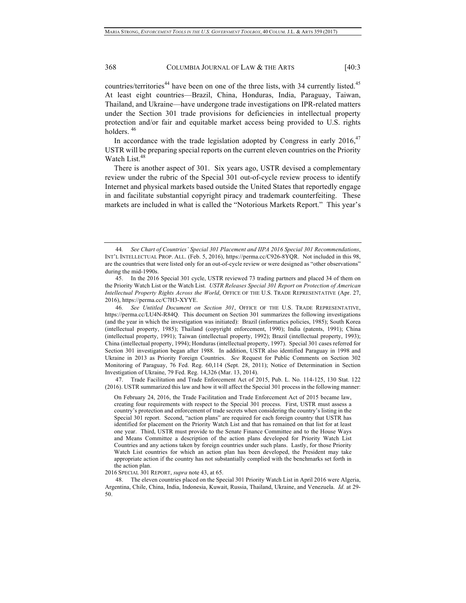countries/territories<sup>44</sup> have been on one of the three lists, with 34 currently listed.<sup>45</sup> At least eight countries—Brazil, China, Honduras, India, Paraguay, Taiwan, Thailand, and Ukraine—have undergone trade investigations on IPR-related matters under the Section 301 trade provisions for deficiencies in intellectual property protection and/or fair and equitable market access being provided to U.S. rights holders. 46

In accordance with the trade legislation adopted by Congress in early  $2016$ <sup>47</sup> USTR will be preparing special reports on the current eleven countries on the Priority Watch List.<sup>48</sup>

There is another aspect of 301. Six years ago, USTR devised a complementary review under the rubric of the Special 301 out-of-cycle review process to identify Internet and physical markets based outside the United States that reportedly engage in and facilitate substantial copyright piracy and trademark counterfeiting. These markets are included in what is called the "Notorious Markets Report." This year's

47. Trade Facilitation and Trade Enforcement Act of 2015, Pub. L. No. 114-125, 130 Stat. 122 (2016). USTR summarized this law and how it will affect the Special 301 process in the following manner:

On February 24, 2016, the Trade Facilitation and Trade Enforcement Act of 2015 became law, creating four requirements with respect to the Special 301 process. First, USTR must assess a country's protection and enforcement of trade secrets when considering the country's listing in the Special 301 report. Second, "action plans" are required for each foreign country that USTR has identified for placement on the Priority Watch List and that has remained on that list for at least one year. Third, USTR must provide to the Senate Finance Committee and to the House Ways and Means Committee a description of the action plans developed for Priority Watch List Countries and any actions taken by foreign countries under such plans. Lastly, for those Priority Watch List countries for which an action plan has been developed, the President may take appropriate action if the country has not substantially complied with the benchmarks set forth in the action plan.

2016 SPECIAL 301 REPORT, *supra* note 43, at 65.

48. The eleven countries placed on the Special 301 Priority Watch List in April 2016 were Algeria, Argentina, Chile, China, India, Indonesia, Kuwait, Russia, Thailand, Ukraine, and Venezuela. *Id.* at 29- 50.

<sup>44</sup>*. See Chart of Countries' Special 301 Placement and IIPA 2016 Special 301 Recommendations*, INT'L INTELLECTUAL PROP. ALL. (Feb. 5, 2016), https://perma.cc/C926-8YQR. Not included in this 98, are the countries that were listed only for an out-of-cycle review or were designed as "other observations" during the mid-1990s.

<sup>45.</sup> In the 2016 Special 301 cycle, USTR reviewed 73 trading partners and placed 34 of them on the Priority Watch List or the Watch List. *USTR Releases Special 301 Report on Protection of American Intellectual Property Rights Across the World*, OFFICE OF THE U.S. TRADE REPRESENTATIVE (Apr. 27, 2016), https://perma.cc/C7H3-XYYE.

<sup>46</sup>*. See Untitled Document on Section 301*, OFFICE OF THE U.S. TRADE REPRESENTATIVE, https://perma.cc/LU4N-R84Q. This document on Section 301 summarizes the following investigations (and the year in which the investigation was initiated): Brazil (informatics policies, 1985); South Korea (intellectual property, 1985); Thailand (copyright enforcement, 1990); India (patents, 1991); China (intellectual property, 1991); Taiwan (intellectual property, 1992); Brazil (intellectual property, 1993); China (intellectual property, 1994); Honduras (intellectual property, 1997). Special 301 cases referred for Section 301 investigation began after 1988. In addition, USTR also identified Paraguay in 1998 and Ukraine in 2013 as Priority Foreign Countries. *See* Request for Public Comments on Section 302 Monitoring of Paraguay, 76 Fed. Reg. 60,114 (Sept. 28, 2011); Notice of Determination in Section Investigation of Ukraine, 79 Fed. Reg. 14,326 (Mar. 13, 2014).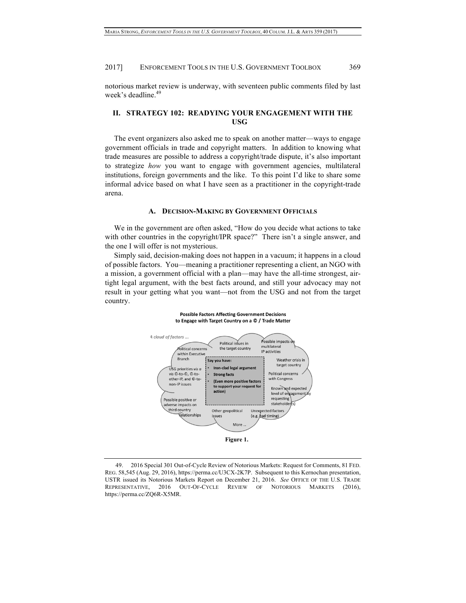notorious market review is underway, with seventeen public comments filed by last week's deadline.<sup>49</sup>

# **II. STRATEGY 102: READYING YOUR ENGAGEMENT WITH THE USG**

The event organizers also asked me to speak on another matter—ways to engage government officials in trade and copyright matters. In addition to knowing what trade measures are possible to address a copyright/trade dispute, it's also important to strategize *how* you want to engage with government agencies, multilateral institutions, foreign governments and the like. To this point I'd like to share some informal advice based on what I have seen as a practitioner in the copyright-trade arena.

### **A. DECISION-MAKING BY GOVERNMENT OFFICIALS**

We in the government are often asked, "How do you decide what actions to take with other countries in the copyright/IPR space?" There isn't a single answer, and the one I will offer is not mysterious.

Simply said, decision-making does not happen in a vacuum; it happens in a cloud of possible factors. You—meaning a practitioner representing a client, an NGO with a mission, a government official with a plan—may have the all-time strongest, airtight legal argument, with the best facts around, and still your advocacy may not result in your getting what you want—not from the USG and not from the target country.





<sup>49.</sup> 2016 Special 301 Out-of-Cycle Review of Notorious Markets: Request for Comments, 81 FED. REG. 58,545 (Aug. 29, 2016), https://perma.cc/U3CX-2K7P. Subsequent to this Kernochan presentation, USTR issued its Notorious Markets Report on December 21, 2016. *See* OFFICE OF THE U.S. TRADE REPRESENTATIVE, 2016 OUT-OF-CYCLE REVIEW OF NOTORIOUS MARKETS (2016), https://perma.cc/ZQ6R-X5MR.